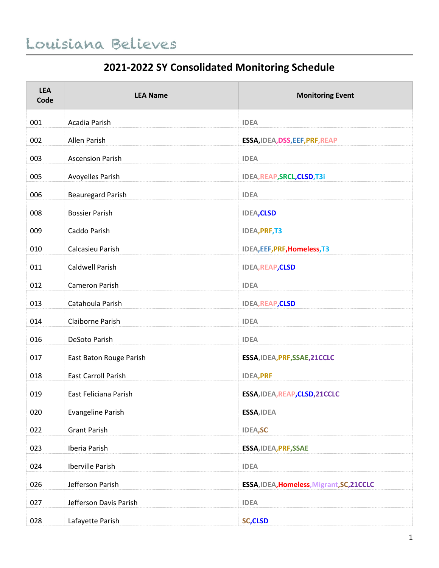#### **2021-2022 SY Consolidated Monitoring Schedule**

| <b>LEA</b><br>Code | <b>LEA Name</b>            | <b>Monitoring Event</b>                   |
|--------------------|----------------------------|-------------------------------------------|
| 001                | Acadia Parish              | <b>IDEA</b>                               |
| 002                | Allen Parish               | ESSA, IDEA, DSS, EEF, PRF, REAP           |
| 003                | <b>Ascension Parish</b>    | <b>IDEA</b>                               |
| 005                | Avoyelles Parish           | IDEA, REAP, SRCL, CLSD, T3i               |
| 006                | <b>Beauregard Parish</b>   | <b>IDEA</b>                               |
| 008                | <b>Bossier Parish</b>      | <b>IDEA, CLSD</b>                         |
| 009                | Caddo Parish               | <b>IDEA, PRF, T3</b>                      |
| 010                | Calcasieu Parish           | IDEA, EEF, PRF, Homeless, T3              |
| 011                | <b>Caldwell Parish</b>     | <b>IDEA, REAP, CLSD</b>                   |
| 012                | Cameron Parish             | <b>IDEA</b>                               |
| 013                | Catahoula Parish           | <b>IDEA, REAP, CLSD</b>                   |
| 014                | Claiborne Parish           | <b>IDEA</b>                               |
| 016                | DeSoto Parish              | <b>IDEA</b>                               |
| 017                | East Baton Rouge Parish    | ESSA, IDEA, PRF, SSAE, 21CCLC             |
| 018                | <b>East Carroll Parish</b> | <b>IDEA, PRF</b>                          |
| 019                | East Feliciana Parish      | ESSA, IDEA, REAP, CLSD, 21CCLC            |
| 020                | <b>Evangeline Parish</b>   | ESSA, IDEA                                |
| 022                | <b>Grant Parish</b>        | <b>IDEA,SC</b>                            |
| 023                | Iberia Parish              | ESSA, IDEA, PRF, SSAE                     |
| 024                | Iberville Parish           | <b>IDEA</b>                               |
| 026                | Jefferson Parish           | ESSA, IDEA, Homeless, Migrant, SC, 21CCLC |
| 027                | Jefferson Davis Parish     | <b>IDEA</b>                               |
| 028                | Lafayette Parish           | <b>SC,CLSD</b>                            |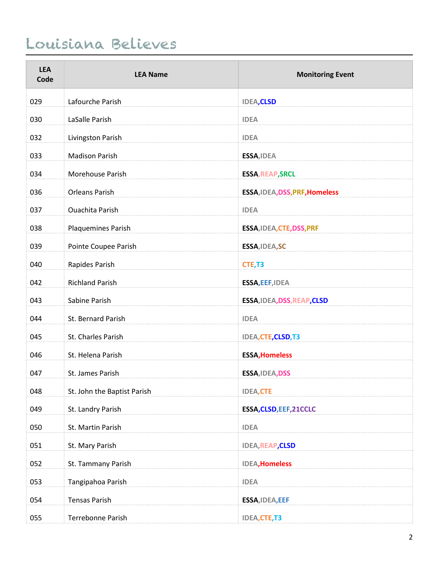| <b>LEA</b><br>Code | <b>LEA Name</b>             | <b>Monitoring Event</b>        |
|--------------------|-----------------------------|--------------------------------|
| 029                | Lafourche Parish            | <b>IDEA, CLSD</b>              |
| 030                | LaSalle Parish              | <b>IDEA</b>                    |
| 032                | Livingston Parish           | <b>IDEA</b>                    |
| 033                | <b>Madison Parish</b>       | ESSA, IDEA                     |
| 034                | Morehouse Parish            | <b>ESSA, REAP, SRCL</b>        |
| 036                | <b>Orleans Parish</b>       | ESSA, IDEA, DSS, PRF, Homeless |
| 037                | <b>Ouachita Parish</b>      | <b>IDEA</b>                    |
| 038                | Plaquemines Parish          | ESSA, IDEA, CTE, DSS, PRF      |
| 039                | Pointe Coupee Parish        | ESSA, IDEA, SC                 |
| 040                | Rapides Parish              | CTE, T3                        |
| 042                | <b>Richland Parish</b>      | ESSA, EEF, IDEA                |
| 043                | Sabine Parish               | ESSA, IDEA, DSS, REAP, CLSD    |
| 044                | St. Bernard Parish          | <b>IDEA</b>                    |
| 045                | St. Charles Parish          | IDEA, CTE, CLSD, T3            |
| 046                | St. Helena Parish           | <b>ESSA, Homeless</b>          |
| 047                | St. James Parish            | ESSA, IDEA, DSS                |
| 048                | St. John the Baptist Parish | <b>IDEA,CTE</b>                |
| 049                | St. Landry Parish           | ESSA, CLSD, EEF, 21CCLC        |
| 050                | St. Martin Parish           | <b>IDEA</b>                    |
| 051                | St. Mary Parish             | <b>IDEA, REAP, CLSD</b>        |
| 052                | St. Tammany Parish          | <b>IDEA, Homeless</b>          |
| 053                | Tangipahoa Parish           | <b>IDEA</b>                    |
| 054                | <b>Tensas Parish</b>        | ESSA, IDEA, EEF                |
| 055                | Terrebonne Parish           | <b>IDEA,CTE,T3</b>             |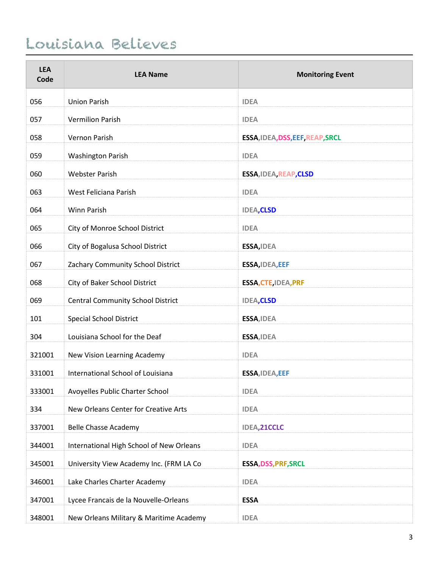| <b>LEA</b><br>Code | <b>LEA Name</b>                          | <b>Monitoring Event</b>          |
|--------------------|------------------------------------------|----------------------------------|
| 056                | <b>Union Parish</b>                      | <b>IDEA</b>                      |
| 057                | <b>Vermilion Parish</b>                  | <b>IDEA</b>                      |
| 058                | Vernon Parish                            | ESSA, IDEA, DSS, EEF, REAP, SRCL |
| 059                | <b>Washington Parish</b>                 | <b>IDEA</b>                      |
| 060                | <b>Webster Parish</b>                    | ESSA, IDEA, REAP, CLSD           |
| 063                | West Feliciana Parish                    | <b>IDEA</b>                      |
| 064                | <b>Winn Parish</b>                       | <b>IDEA, CLSD</b>                |
| 065                | City of Monroe School District           | <b>IDEA</b>                      |
| 066                | City of Bogalusa School District         | ESSA, IDEA                       |
| 067                | Zachary Community School District        | ESSA, IDEA, EEF                  |
| 068                | City of Baker School District            | <b>ESSA, CTE, IDEA, PRF</b>      |
| 069                | <b>Central Community School District</b> | <b>IDEA, CLSD</b>                |
| 101                | <b>Special School District</b>           | ESSA, IDEA                       |
| 304                | Louisiana School for the Deaf            | ESSA, IDEA                       |
| 321001             | New Vision Learning Academy              | <b>IDEA</b>                      |
| 331001             | International School of Louisiana        | ESSA, IDEA, EEF                  |
| 333001             | Avoyelles Public Charter School          | <b>IDEA</b>                      |
| 334                | New Orleans Center for Creative Arts     | <b>IDEA</b>                      |
| 337001             | <b>Belle Chasse Academy</b>              | IDEA, 21CCLC                     |
| 344001             | International High School of New Orleans | <b>IDEA</b>                      |
| 345001             | University View Academy Inc. (FRM LA Co  | <b>ESSA, DSS, PRF, SRCL</b>      |
| 346001             | Lake Charles Charter Academy             | <b>IDEA</b>                      |
| 347001             | Lycee Francais de la Nouvelle-Orleans    | <b>ESSA</b>                      |
| 348001             | New Orleans Military & Maritime Academy  | <b>IDEA</b>                      |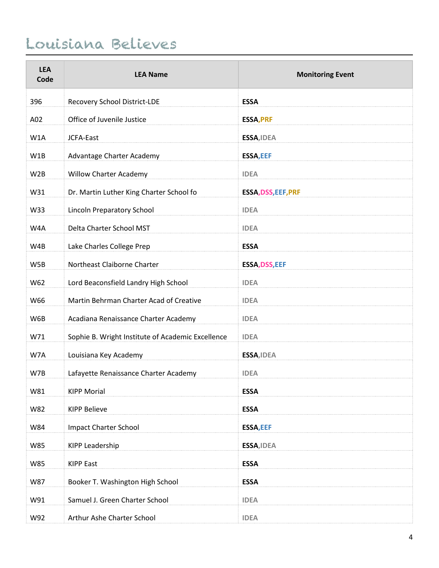| <b>LEA</b><br>Code | <b>LEA Name</b>                                   | <b>Monitoring Event</b> |
|--------------------|---------------------------------------------------|-------------------------|
| 396                | Recovery School District-LDE                      | <b>ESSA</b>             |
| A02                | Office of Juvenile Justice                        | <b>ESSA, PRF</b>        |
| W1A                | JCFA-East                                         | ESSA, IDEA              |
| W1B                | Advantage Charter Academy                         | <b>ESSA, EEF</b>        |
| W <sub>2</sub> B   | Willow Charter Academy                            | <b>IDEA</b>             |
| W31                | Dr. Martin Luther King Charter School fo          | ESSA, DSS, EEF, PRF     |
| W33                | Lincoln Preparatory School                        | <b>IDEA</b>             |
| W4A                | Delta Charter School MST                          | <b>IDEA</b>             |
| W4B                | Lake Charles College Prep                         | <b>ESSA</b>             |
| W5B                | Northeast Claiborne Charter                       | <b>ESSA, DSS, EEF</b>   |
| W62                | Lord Beaconsfield Landry High School              | <b>IDEA</b>             |
| W66                | Martin Behrman Charter Acad of Creative           | <b>IDEA</b>             |
| W6B                | Acadiana Renaissance Charter Academy              | <b>IDEA</b>             |
| W71                | Sophie B. Wright Institute of Academic Excellence | <b>IDEA</b>             |
| W7A                | Louisiana Key Academy                             | ESSA, IDEA              |
| W7B                | Lafayette Renaissance Charter Academy             | <b>IDEA</b>             |
| W81                | <b>KIPP Morial</b>                                | <b>ESSA</b>             |
| W82                | <b>KIPP Believe</b>                               | <b>ESSA</b>             |
| W84                | <b>Impact Charter School</b>                      | <b>ESSA, EEF</b>        |
| W85                | KIPP Leadership                                   | ESSA, IDEA              |
| <b>W85</b>         | <b>KIPP East</b>                                  | <b>ESSA</b>             |
| W87                | Booker T. Washington High School                  | <b>ESSA</b>             |
| W91                | Samuel J. Green Charter School                    | <b>IDEA</b>             |
| W92                | Arthur Ashe Charter School                        | <b>IDEA</b>             |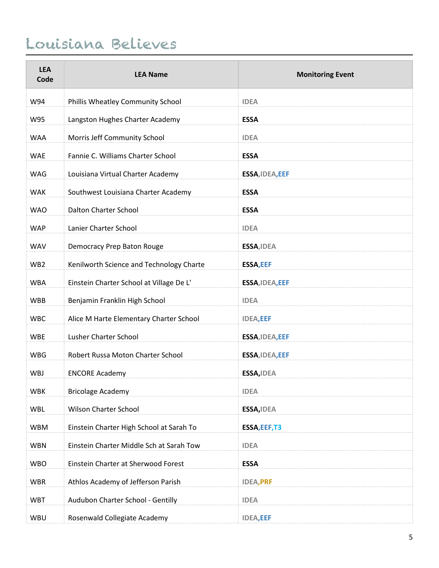| <b>LEA</b><br>Code | <b>LEA Name</b>                          | <b>Monitoring Event</b> |
|--------------------|------------------------------------------|-------------------------|
| W94                | Phillis Wheatley Community School        | <b>IDEA</b>             |
| W95                | Langston Hughes Charter Academy          | <b>ESSA</b>             |
| <b>WAA</b>         | Morris Jeff Community School             | <b>IDEA</b>             |
| <b>WAE</b>         | Fannie C. Williams Charter School        | <b>ESSA</b>             |
| <b>WAG</b>         | Louisiana Virtual Charter Academy        | ESSA, IDEA, EEF         |
| <b>WAK</b>         | Southwest Louisiana Charter Academy      | <b>ESSA</b>             |
| <b>WAO</b>         | <b>Dalton Charter School</b>             | <b>ESSA</b>             |
| <b>WAP</b>         | Lanier Charter School                    | <b>IDEA</b>             |
| <b>WAV</b>         | Democracy Prep Baton Rouge               | ESSA, IDEA              |
| WB <sub>2</sub>    | Kenilworth Science and Technology Charte | <b>ESSA, EEF</b>        |
| <b>WBA</b>         | Einstein Charter School at Village De L' | ESSA, IDEA, EEF         |
| <b>WBB</b>         | Benjamin Franklin High School            | <b>IDEA</b>             |
| <b>WBC</b>         | Alice M Harte Elementary Charter School  | <b>IDEA,EEF</b>         |
| <b>WBE</b>         | Lusher Charter School                    | ESSA, IDEA, EEF         |
| <b>WBG</b>         | Robert Russa Moton Charter School        | ESSA, IDEA, EEF         |
| <b>WBJ</b>         | <b>ENCORE Academy</b>                    | ESSA, IDEA              |
| <b>WBK</b>         | <b>Bricolage Academy</b>                 | <b>IDEA</b>             |
| WBL                | <b>Wilson Charter School</b>             | ESSA, IDEA              |
| <b>WBM</b>         | Einstein Charter High School at Sarah To | ESSA, EEF, T3           |
| <b>WBN</b>         | Einstein Charter Middle Sch at Sarah Tow | <b>IDEA</b>             |
| <b>WBO</b>         | Einstein Charter at Sherwood Forest      | <b>ESSA</b>             |
| <b>WBR</b>         | Athlos Academy of Jefferson Parish       | <b>IDEA, PRF</b>        |
| <b>WBT</b>         | Audubon Charter School - Gentilly        | <b>IDEA</b>             |
| WBU                | Rosenwald Collegiate Academy             | <b>IDEA,EEF</b>         |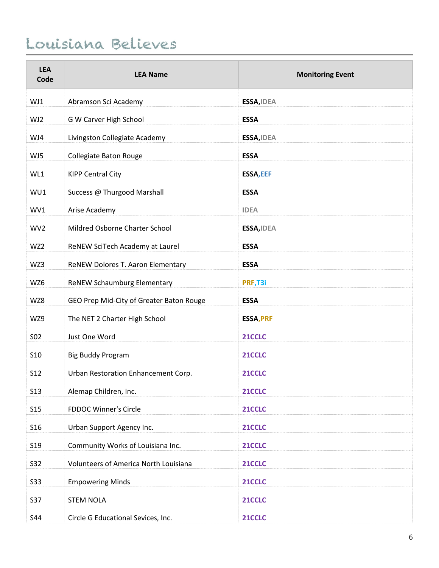| <b>LEA</b><br>Code | <b>LEA Name</b>                          | <b>Monitoring Event</b> |
|--------------------|------------------------------------------|-------------------------|
| WJ1                | Abramson Sci Academy                     | ESSA, IDEA              |
| WJ2                | G W Carver High School                   | <b>ESSA</b>             |
| WJ4                | Livingston Collegiate Academy            | ESSA, IDEA              |
| WJ5                | Collegiate Baton Rouge                   | <b>ESSA</b>             |
| WL1                | <b>KIPP Central City</b>                 | <b>ESSA, EEF</b>        |
| WU1                | Success @ Thurgood Marshall              | <b>ESSA</b>             |
| WV1                | Arise Academy                            | <b>IDEA</b>             |
| WV <sub>2</sub>    | Mildred Osborne Charter School           | ESSA, IDEA              |
| WZ2                | ReNEW SciTech Academy at Laurel          | <b>ESSA</b>             |
| WZ3                | ReNEW Dolores T. Aaron Elementary        | <b>ESSA</b>             |
| WZ6                | <b>ReNEW Schaumburg Elementary</b>       | PRF, T3i                |
| WZ8                | GEO Prep Mid-City of Greater Baton Rouge | <b>ESSA</b>             |
| WZ9                | The NET 2 Charter High School            | <b>ESSA, PRF</b>        |
| <b>SO2</b>         | Just One Word                            | 21CCLC                  |
| <b>S10</b>         | <b>Big Buddy Program</b>                 | 21CCLC                  |
| <b>S12</b>         | Urban Restoration Enhancement Corp.      | 21CCLC                  |
| <b>S13</b>         | Alemap Children, Inc.                    | 21CCLC                  |
| <b>S15</b>         | FDDOC Winner's Circle                    | 21CCLC                  |
| S <sub>16</sub>    | Urban Support Agency Inc.                | 21CCLC                  |
| S <sub>19</sub>    | Community Works of Louisiana Inc.        | 21CCLC                  |
| <b>S32</b>         | Volunteers of America North Louisiana    | 21CCLC                  |
| <b>S33</b>         | <b>Empowering Minds</b>                  | 21CCLC                  |
| <b>S37</b>         | <b>STEM NOLA</b>                         | 21CCLC                  |
| S44                | Circle G Educational Sevices, Inc.       | 21CCLC                  |